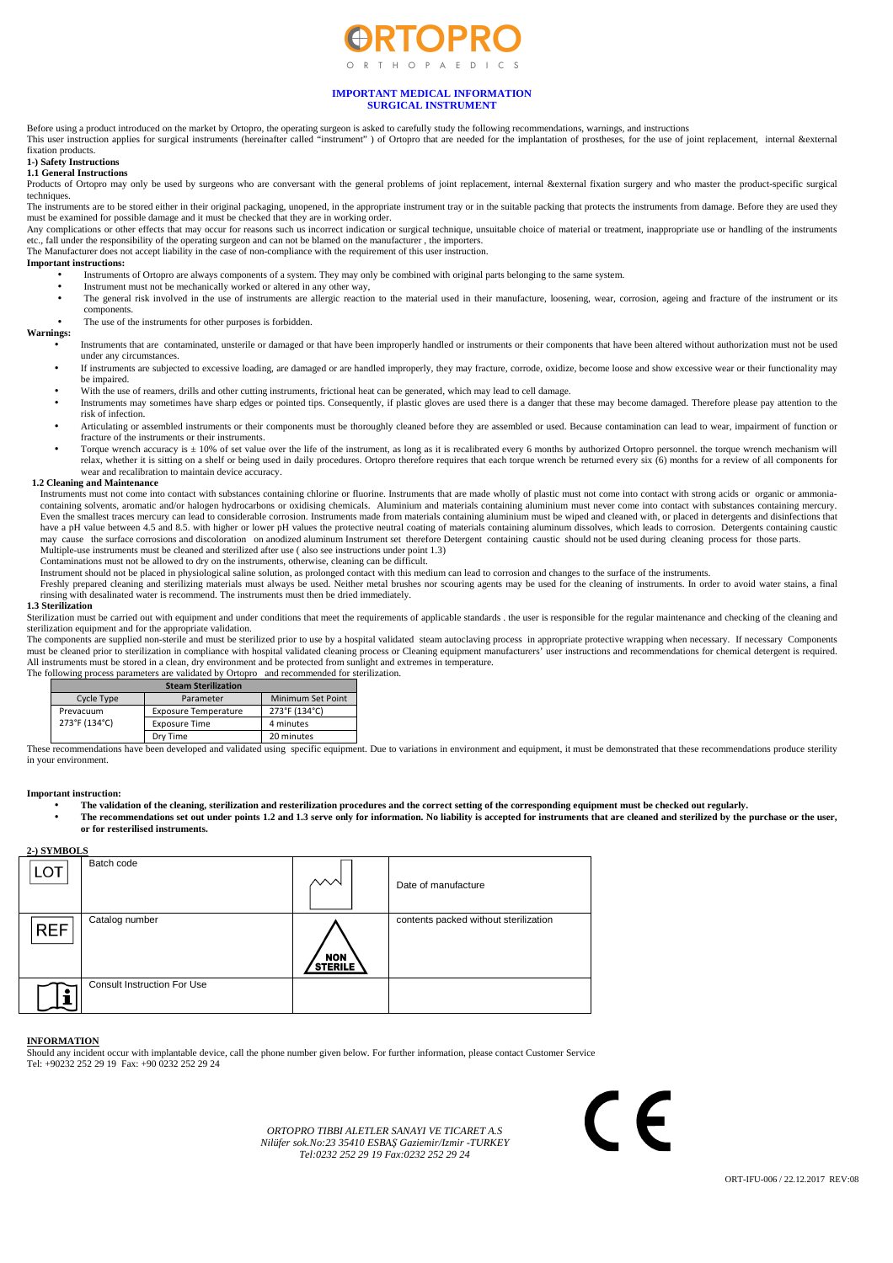

# **IMPORTANT MEDICAL INFORMATION SURGICAL INSTRUMENT**

Before using a product introduced on the market by Ortopro, the operating surgeon is asked to carefully study the following recommendations, warnings, and instructions<br>This user instruction applies for surgical instruments fixation products.

# **1-) Safety Instructions**

**1.1 General Instructions** 

Products of Ortopro may only be used by surgeons who are conversant with the general problems of joint replacement, internal &external fixation surgery and who master the product-specific surgical techniques.

The instruments are to be stored either in their original packaging, unopened, in the appropriate instrument tray or in the suitable packing that protects the instruments from damage. Before they are used they are used the must be examined for possible damage and it must be checked that they are in working order.

Any complications or other effects that may occur for reasons such us incorrect indication or surgical technique, unsuitable choice of material or treatment, inappropriate use or handling of the instruments etc., fall under the responsibility of the operating surgeon and can not be blamed on the manufacturer , the importers. The Manufacturer does not accept liability in the case of non-compliance with the requirement of this user instruction.

**Important instructions:** 

- Instruments of Ortopro are always components of a system. They may only be combined with original parts belonging to the same system.
- Instrument must not be mechanically worked or altered in any other way,
- The general risk involved in the use of instruments are allergic reaction to the material used in their manufacture, loosening, wear, corrosion, ageing and fracture of the instrument or its components. The use of the instruments for other purposes is forbidden.

# **Warnings:**

- Instruments that are contaminated, unsterile or damaged or that have been improperly handled or instruments or their components that have been altered without authorization must not be used under any circumstances.
- If instruments are subjected to excessive loading, are damaged or are handled improperly, they may fracture, corrode, oxidize, become loose and show excessive wear or their functionality may be impaired.
- With the use of reamers, drills and other cutting instruments, frictional heat can be generated, which may lead to cell damage.
- Instruments may sometimes have sharp edges or pointed tips. Consequently, if plastic gloves are used there is a danger that these may become damaged. Therefore please pay attention to the risk of infection.
- Articulating or assembled instruments or their components must be thoroughly cleaned before they are assembled or used. Because contamination can lead to wear, impairment of function or fracture of the instruments or their instruments.
- Torque wrench accuracy is  $\pm 10$ % of set value over the life of the instrument, as long as it is recalibrated every 6 months by authorized Ortopro personnel. the torque wrench mechanism will relax, whether it is sitting on a shelf or being used in daily procedures. Ortopro therefore requires that each torque wrench be returned every six (6) months for a review of all components for really, whether it is sittin wear and recalibration to maintain device accuracy.

## **1.2 Cleaning and Maintenance**

Instruments must not come into contact with substances containing chlorine or fluorine. Instruments that are made wholly of plastic must not come into contact with strong acids or organic or ammoniacontaining solvents, aromatic and/or halogen hydrocarbons or oxidising chemicals. Aluminium and materials containing aluminium must never come into contact with substances containing mercury. Even the smallest traces mercury can lead to considerable corrosion. Instruments made from materials containing aluminium must be wiped and cleaned with, or placed in detergents and disinfections that have a pH value between 4.5 and 8.5, with higher or lower pH values the protective neutral coating of materials containing aluminum dissolves, which leads to corrosion. Detergents containing caustic may cause the surface corrosions and discoloration on anodized aluminum Instrument set therefore Detergent containing caustic should not be used during cleaning process for those parts. Multiple-use instruments must be cleaned and sterilized after use ( also see instructions under point 1.3)

Contaminations must not be allowed to dry on the instruments, otherwise, cleaning can be difficult.

Instrument should not be placed in physiological saline solution, as prolonged contact with this medium can lead to corrosion and changes to the surface of the instruments.

Freshly prepared cleaning and sterilizing materials must always be used. Neither metal brushes nor scouring agents may be used for the cleaning of instruments. In order to avoid water stains, a final rinsing with desalinated water is recommend. The instruments must then be dried immediately.

#### **1.3 Sterilization**

Sterilization must be carried out with equipment and under conditions that meet the requirements of applicable standards . the user is responsible for the regular maintenance and checking of the cleaning and sterilization equipment and for the appropriate validation.

The components are supplied non-sterile and must be sterilized prior to use by a hospital validated steam autoclaving process in appropriate protective wrapping when necessary. If necessary Components must be cleaned prior to sterilization in compliance with hospital validated cleaning process or Cleaning equipment manufacturers' user instructions and recommendations for chemical detergent is required. All instruments must be stored in a clean, dry environment and be protected from sunlight and extremes in temperature.

The following process parameters are validated by Ortopro and recommended for sterilization.

| <b>Steam Sterilization</b> |                             |                   |  |  |
|----------------------------|-----------------------------|-------------------|--|--|
| Cycle Type                 | Parameter                   | Minimum Set Point |  |  |
| Prevacuum                  | <b>Exposure Temperature</b> | 273°F (134°C)     |  |  |
| 273°F (134°C)              | <b>Exposure Time</b>        | 4 minutes         |  |  |
|                            | Dry Time                    | 20 minutes        |  |  |

These recommendations have been developed and validated using specific equipment. Due to variations in environment and equipment, it must be demonstrated that these recommendations produce sterility in your environment.

## **Important instruction:**

**2-) SYMBOLS** 

- **The validation of the cleaning, sterilization and resterilization procedures and the correct setting of the corresponding equipment must be checked out regularly.**
- **The recommendations set out under points 1.2 and 1.3 serve only for information. No liability is accepted for instruments that are cleaned and sterilized by the purchase or the user, or for resterilised instruments.**

| 27101110010 |                             |                    |                                       |
|-------------|-----------------------------|--------------------|---------------------------------------|
| LOT         | Batch code                  | ∽                  | Date of manufacture                   |
| <b>REF</b>  | Catalog number              | / NON \<br>STERILE | contents packed without sterilization |
|             | Consult Instruction For Use |                    |                                       |

#### **INFORMATION**

Should any incident occur with implantable device, call the phone number given below. For further information, please contact Customer Service Tel: +90232 252 29 19 Fax: +90 0232 252 29 24

> *ORTOPRO TIBBI ALETLER SANAYI VE TICARET A.S Nilüfer sok.No:23 35410 ESBAŞ Gaziemir/Izmir -TURKEY Tel:0232 252 29 19 Fax:0232 252 29 24*

 $\epsilon$